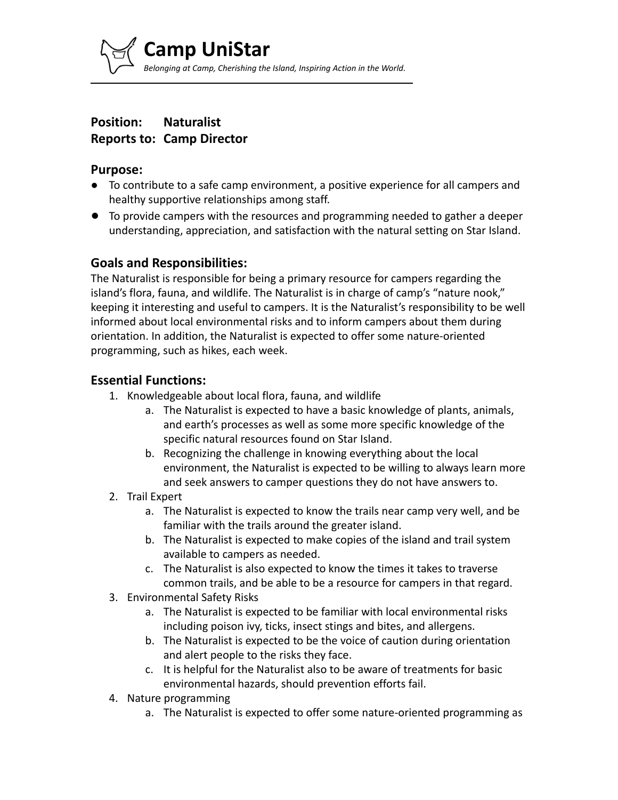

# **Position: Naturalist Reports to: Camp Director**

#### **Purpose:**

- To contribute to a safe camp environment, a positive experience for all campers and healthy supportive relationships among staff.
- To provide campers with the resources and programming needed to gather a deeper understanding, appreciation, and satisfaction with the natural setting on Star Island.

# **Goals and Responsibilities:**

The Naturalist is responsible for being a primary resource for campers regarding the island's flora, fauna, and wildlife. The Naturalist is in charge of camp's "nature nook," keeping it interesting and useful to campers. It is the Naturalist's responsibility to be well informed about local environmental risks and to inform campers about them during orientation. In addition, the Naturalist is expected to offer some nature-oriented programming, such as hikes, each week.

#### **Essential Functions:**

- 1. Knowledgeable about local flora, fauna, and wildlife
	- a. The Naturalist is expected to have a basic knowledge of plants, animals, and earth's processes as well as some more specific knowledge of the specific natural resources found on Star Island.
	- b. Recognizing the challenge in knowing everything about the local environment, the Naturalist is expected to be willing to always learn more and seek answers to camper questions they do not have answers to.
- 2. Trail Expert
	- a. The Naturalist is expected to know the trails near camp very well, and be familiar with the trails around the greater island.
	- b. The Naturalist is expected to make copies of the island and trail system available to campers as needed.
	- c. The Naturalist is also expected to know the times it takes to traverse common trails, and be able to be a resource for campers in that regard.
- 3. Environmental Safety Risks
	- a. The Naturalist is expected to be familiar with local environmental risks including poison ivy, ticks, insect stings and bites, and allergens.
	- b. The Naturalist is expected to be the voice of caution during orientation and alert people to the risks they face.
	- c. It is helpful for the Naturalist also to be aware of treatments for basic environmental hazards, should prevention efforts fail.
- 4. Nature programming
	- a. The Naturalist is expected to offer some nature-oriented programming as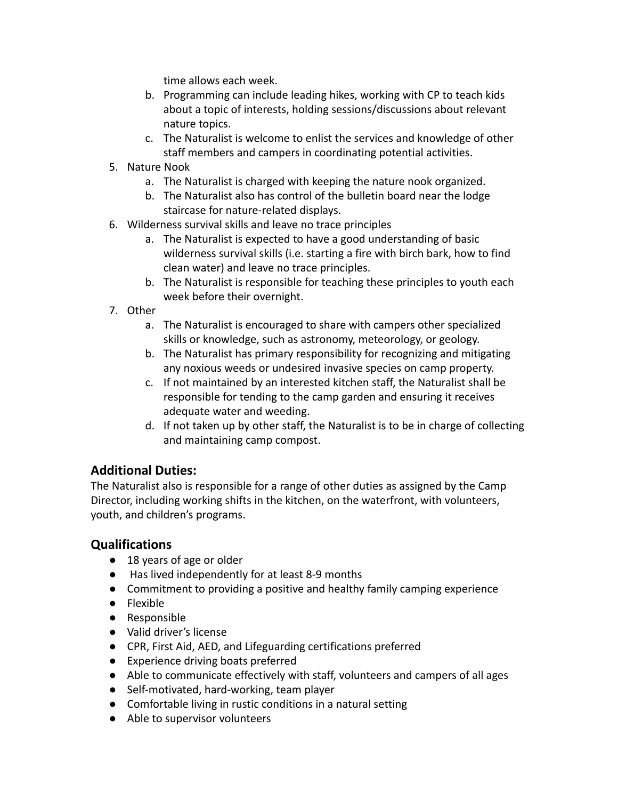time allows each week.

- b. Programming can include leading hikes, working with CP to teach kids about a topic of interests, holding sessions/discussions about relevant nature topics.
- c. The Naturalist is welcome to enlist the services and knowledge of other staff members and campers in coordinating potential activities.
- 5. Nature Nook
	- a. The Naturalist is charged with keeping the nature nook organized.
	- b. The Naturalist also has control of the bulletin board near the lodge staircase for nature-related displays.
- 6. Wilderness survival skills and leave no trace principles
	- a. The Naturalist is expected to have a good understanding of basic wilderness survival skills (i.e. starting a fire with birch bark, how to find clean water) and leave no trace principles.
	- b. The Naturalist is responsible for teaching these principles to youth each week before their overnight.
- 7. Other
	- a. The Naturalist is encouraged to share with campers other specialized skills or knowledge, such as astronomy, meteorology, or geology.
	- b. The Naturalist has primary responsibility for recognizing and mitigating any noxious weeds or undesired invasive species on camp property.
	- c. If not maintained by an interested kitchen staff, the Naturalist shall be responsible for tending to the camp garden and ensuring it receives adequate water and weeding.
	- d. If not taken up by other staff, the Naturalist is to be in charge of collecting and maintaining camp compost.

# **Additional Duties:**

The Naturalist also is responsible for a range of other duties as assigned by the Camp Director, including working shifts in the kitchen, on the waterfront, with volunteers, youth, and children's programs.

# **Qualifications**

- 18 years of age or older
- Has lived independently for at least 8-9 months
- Commitment to providing a positive and healthy family camping experience
- Flexible
- Responsible
- Valid driver's license
- CPR, First Aid, AED, and Lifeguarding certifications preferred
- Experience driving boats preferred
- Able to communicate effectively with staff, volunteers and campers of all ages
- Self-motivated, hard-working, team player
- Comfortable living in rustic conditions in a natural setting
- Able to supervisor volunteers